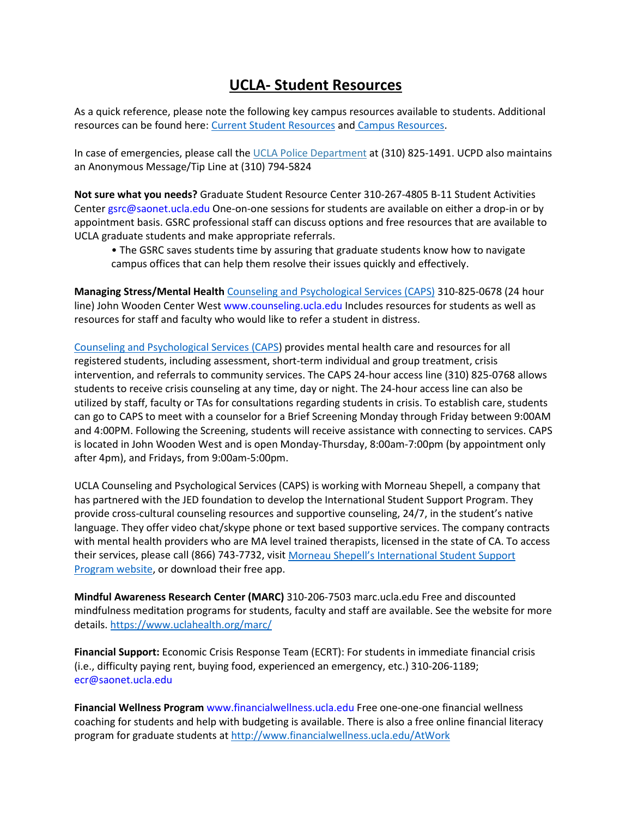# **UCLA- Student Resources**

As a quick reference, please note the following key campus resources available to students. Additional resources can be found here: [Current Student Resources](http://www.ucla.edu/students/current-students) and [Campus Resources.](http://www.ucla.edu/students/current-students)

In case of emergencies, please call the [UCLA Police Department](https://police.ucla.edu/) at (310) 825-1491. UCPD also maintains an Anonymous Message/Tip Line at (310) 794-5824

**Not sure what you needs?** Graduate Student Resource Center 310-267-4805 B-11 Student Activities Center gsrc@saonet.ucla.edu One-on-one sessions for students are available on either a drop-in or by appointment basis. GSRC professional staff can discuss options and free resources that are available to UCLA graduate students and make appropriate referrals.

• The GSRC saves students time by assuring that graduate students know how to navigate campus offices that can help them resolve their issues quickly and effectively.

**Managing Stress/Mental Health** [Counseling and Psychological Services \(CAPS\)](https://www.counseling.ucla.edu/) 310-825-0678 (24 hour line) John Wooden Center West www.counseling.ucla.edu Includes resources for students as well as resources for staff and faculty who would like to refer a student in distress.

[Counseling and Psychological Services \(CAPS\)](https://www.counseling.ucla.edu/) provides mental health care and resources for all registered students, including assessment, short-term individual and group treatment, crisis intervention, and referrals to community services. The CAPS 24-hour access line (310) 825-0768 allows students to receive crisis counseling at any time, day or night. The 24-hour access line can also be utilized by staff, faculty or TAs for consultations regarding students in crisis. To establish care, students can go to CAPS to meet with a counselor for a Brief Screening Monday through Friday between 9:00AM and 4:00PM. Following the Screening, students will receive assistance with connecting to services. CAPS is located in John Wooden West and is open Monday-Thursday, 8:00am-7:00pm (by appointment only after 4pm), and Fridays, from 9:00am-5:00pm.

UCLA Counseling and Psychological Services (CAPS) is working with Morneau Shepell, a company that has partnered with the JED foundation to develop the International Student Support Program. They provide cross-cultural counseling resources and supportive counseling, 24/7, in the student's native language. They offer video chat/skype phone or text based supportive services. The company contracts with mental health providers who are MA level trained therapists, licensed in the state of CA. To access their services, please call (866) 743-7732, visit Morneau Shepell's International Student Support [Program website,](https://us.myissp.com/Home/UniversitySearch) or download their free app.

**Mindful Awareness Research Center (MARC)** 310-206-7503 marc.ucla.edu Free and discounted mindfulness meditation programs for students, faculty and staff are available. See the website for more details.<https://www.uclahealth.org/marc/>

**Financial Support:** Economic Crisis Response Team (ECRT): For students in immediate financial crisis (i.e., difficulty paying rent, buying food, experienced an emergency, etc.) 310-206-1189; ecr@saonet.ucla.edu

**Financial Wellness Program** www.financialwellness.ucla.edu Free one-one-one financial wellness coaching for students and help with budgeting is available. There is also a free online financial literacy program for graduate students at<http://www.financialwellness.ucla.edu/AtWork>